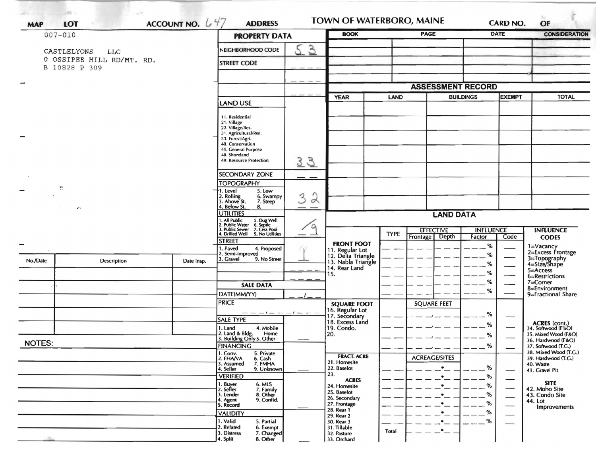| ACCOUNT NO. $647$<br>LOT<br><b>MAP</b> |                           |                                                                                                 | <b>ADDRESS</b>                                              |                  | TOWN OF WATERBORO, MAINE              |                                 |                                       | <b>CARD NO.</b>            |              | OF                                           |  |
|----------------------------------------|---------------------------|-------------------------------------------------------------------------------------------------|-------------------------------------------------------------|------------------|---------------------------------------|---------------------------------|---------------------------------------|----------------------------|--------------|----------------------------------------------|--|
| $007 - 010$                            |                           |                                                                                                 | <b>PROPERTY DATA</b>                                        |                  | <b>BOOK</b>                           |                                 | <b>PAGE</b>                           |                            | <b>DATE</b>  | <b>CONSIDERATION</b>                         |  |
|                                        | CASTLELYONS<br><b>TTC</b> |                                                                                                 | $\mathcal{F}$<br>NEIGHBORHOOD CODE                          |                  |                                       |                                 |                                       |                            |              |                                              |  |
|                                        | 0 OSSIPEE HILL RD/MT. RD. |                                                                                                 | <b>STREET CODE</b>                                          |                  |                                       |                                 |                                       |                            |              |                                              |  |
|                                        | B 10828 P 309             |                                                                                                 |                                                             |                  |                                       |                                 |                                       |                            |              |                                              |  |
|                                        |                           |                                                                                                 |                                                             |                  |                                       | <b>ASSESSMENT RECORD</b>        |                                       |                            |              |                                              |  |
|                                        |                           |                                                                                                 |                                                             | <b>YEAR</b>      |                                       | <b>LAND</b><br><b>BUILDINGS</b> |                                       | <b>EXEMPT</b>              | <b>TOTAL</b> |                                              |  |
|                                        |                           |                                                                                                 | <b>LAND USE</b>                                             |                  |                                       |                                 |                                       |                            |              |                                              |  |
|                                        |                           |                                                                                                 | 11. Residential                                             |                  |                                       |                                 |                                       |                            |              |                                              |  |
|                                        |                           |                                                                                                 | 21. Village<br>22. Village/Res.                             |                  |                                       |                                 |                                       |                            |              |                                              |  |
|                                        |                           |                                                                                                 | 31. Agricultural/Res.<br>33. Forest/Agri.                   |                  |                                       |                                 |                                       |                            |              |                                              |  |
|                                        |                           |                                                                                                 | 40. Conservation<br>45. General Purpose                     |                  |                                       |                                 |                                       |                            |              |                                              |  |
|                                        |                           |                                                                                                 | 48. Shoreland<br>49. Resource Protection                    | 33               |                                       |                                 |                                       |                            |              |                                              |  |
|                                        |                           |                                                                                                 |                                                             |                  |                                       |                                 |                                       |                            |              |                                              |  |
|                                        |                           |                                                                                                 | <b>SECONDARY ZONE</b><br><b>TOPOGRAPHY</b>                  | - -              |                                       |                                 |                                       |                            |              |                                              |  |
| 9                                      |                           |                                                                                                 | 5. Low<br>1. Level                                          |                  |                                       |                                 |                                       |                            |              |                                              |  |
|                                        |                           | 2. Rolling<br>3. Above St.<br>6. Swampy<br>7. Steep                                             | $\lambda$<br>3                                              |                  |                                       |                                 |                                       |                            |              |                                              |  |
|                                        | $\epsilon^{\mu}$ .        | 4. Below St.<br>8.<br><b>UTILITIES</b>                                                          | $\circ$                                                     | <b>LAND DATA</b> |                                       |                                 |                                       |                            |              |                                              |  |
|                                        |                           | 1. All Public<br>2. Public Water<br>3. Public Sewer<br>5. Dug Well<br>6. Septic<br>7. Cess Pool |                                                             |                  |                                       |                                 |                                       |                            |              |                                              |  |
|                                        |                           |                                                                                                 | 4. Drilled Well<br>9. No Utilities                          |                  |                                       | <b>TYPE</b>                     | <b>EFFECTIVE</b><br>Frontage<br>Depth | <b>INFLUENCE</b><br>Factor | Code         | <b>INFLUENCE</b><br><b>CODES</b>             |  |
|                                        |                           |                                                                                                 | <b>STREET</b><br>1. Paved<br>4. Proposed                    |                  | <b>FRONT FOOT</b>                     |                                 |                                       | %                          |              |                                              |  |
|                                        |                           |                                                                                                 | 2. Semi-Improved                                            |                  | 11. Regular Lot<br>12. Delta Triangle |                                 |                                       | %                          |              | 1=Vacancy<br>2=Excess Frontage               |  |
| No./Date                               | <b>Description</b>        | Date Insp.                                                                                      | 3. Gravel<br>9. No Street                                   |                  | 13. Nabla Triangle<br>14. Rear Land   |                                 |                                       | %                          |              | 3=Topography<br>4=Size/Shape                 |  |
|                                        |                           |                                                                                                 |                                                             |                  | 15.                                   |                                 |                                       | %                          |              | 5=Access<br>6=Restrictions                   |  |
|                                        |                           |                                                                                                 | <b>SALE DATA</b>                                            |                  |                                       |                                 |                                       | %                          |              | $7 =$ Corner<br>8=Environment                |  |
|                                        |                           |                                                                                                 | DATE(MM/YY)                                                 |                  |                                       |                                 |                                       | %                          |              | 9=Fractional Share                           |  |
|                                        |                           |                                                                                                 | <b>PRICE</b>                                                |                  | <b>SQUARE FOOT</b><br>16. Regular Lot |                                 | <b>SQUARE FEET</b>                    |                            |              |                                              |  |
|                                        |                           |                                                                                                 | $-1$ $  -1$ $ -$<br><b>SALE TYPE</b>                        |                  | 17. Secondary<br>18. Excess Land      |                                 |                                       | %                          |              |                                              |  |
|                                        |                           |                                                                                                 | 1. Land<br>4. Mobile                                        |                  | 19. Condo.                            |                                 |                                       | %                          |              | ACRES (cont.)<br>34. Softwood (F-3O)         |  |
| <b>NOTES:</b>                          |                           |                                                                                                 | 2. Land & Bldg. Home<br>3. Building Only 5. Other<br>Home   |                  | 20.                                   |                                 |                                       | %                          |              | 35. Mixed Wood (F&O)<br>36. Hardwood (F&O)   |  |
|                                        |                           |                                                                                                 | <b>FINANCING</b><br>5. Private                              |                  |                                       |                                 |                                       | $-$ %                      |              | 37. Softwood (T.G.)<br>38. Mixed Wood (T.G.) |  |
|                                        |                           |                                                                                                 | 1. Conv.<br>2. FHA/VA<br>6. Cash<br>7. FMHA<br>3. Assumed   |                  | <b>FRACT. ACRE</b><br>21. Homesite    |                                 | <b>ACREAGE/SITES</b>                  |                            |              | 39. Hardwood (T.G.)<br>40. Waste             |  |
|                                        |                           |                                                                                                 | 4. Seller<br>9. Unknown                                     |                  | 22. Baselot<br>23.                    |                                 |                                       | %                          |              | 41. Gravel Pit                               |  |
|                                        |                           |                                                                                                 | <b>VERIFIED</b><br>6. MLS                                   |                  | <b>ACRES</b>                          |                                 |                                       | %                          |              | <b>SITE</b>                                  |  |
|                                        |                           |                                                                                                 | 1. Buyer<br>2. Seller<br>7. Family<br>3. Lender<br>8. Other |                  | 24. Homesite<br>25. Baselot           |                                 |                                       | %<br>%                     | --           | 42. Moho Site<br>43. Condo Site              |  |
|                                        |                           |                                                                                                 | 9. Confid.<br>4. Agent<br>5. Record                         |                  | 26. Secondary<br>27. Frontage         |                                 |                                       | %                          |              | 44. Lot                                      |  |
|                                        |                           |                                                                                                 | <b>VALIDITY</b>                                             |                  | 28. Rear 1<br>29. Rear 2              |                                 |                                       | %                          | —            | Improvements                                 |  |
|                                        |                           |                                                                                                 | 1. Valid<br>5. Partial<br>2. Related                        |                  | 30. Rear 3                            |                                 |                                       | %                          | —            |                                              |  |
|                                        |                           |                                                                                                 | 6. Exempt<br>3. Distress<br>7. Changed                      |                  | 31. Tillable<br>32. Pasture           | Total                           |                                       |                            |              |                                              |  |
|                                        |                           |                                                                                                 | 4. Split<br>8. Other                                        |                  | 33. Orchard                           |                                 |                                       |                            |              |                                              |  |